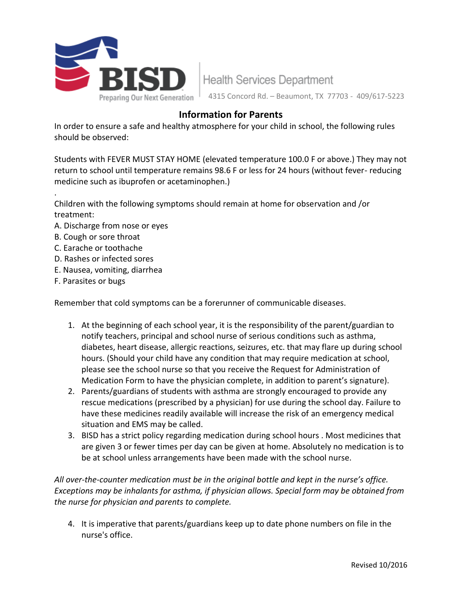

**Health Services Department** 4315 Concord Rd. – Beaumont, TX 77703 - 409/617-5223

## **Information for Parents**

In order to ensure a safe and healthy atmosphere for your child in school, the following rules should be observed:

Students with FEVER MUST STAY HOME (elevated temperature 100.0 F or above.) They may not return to school until temperature remains 98.6 F or less for 24 hours (without fever- reducing medicine such as ibuprofen or acetaminophen.)

Children with the following symptoms should remain at home for observation and /or treatment:

- A. Discharge from nose or eyes
- B. Cough or sore throat

.

- C. Earache or toothache
- D. Rashes or infected sores
- E. Nausea, vomiting, diarrhea
- F. Parasites or bugs

Remember that cold symptoms can be a forerunner of communicable diseases.

- 1. At the beginning of each school year, it is the responsibility of the parent/guardian to notify teachers, principal and school nurse of serious conditions such as asthma, diabetes, heart disease, allergic reactions, seizures, etc. that may flare up during school hours. (Should your child have any condition that may require medication at school, please see the school nurse so that you receive the Request for Administration of Medication Form to have the physician complete, in addition to parent's signature).
- 2. Parents/guardians of students with asthma are strongly encouraged to provide any rescue medications (prescribed by a physician) for use during the school day. Failure to have these medicines readily available will increase the risk of an emergency medical situation and EMS may be called.
- 3. BISD has a strict policy regarding medication during school hours . Most medicines that are given 3 or fewer times per day can be given at home. Absolutely no medication is to be at school unless arrangements have been made with the school nurse.

*All over-the-counter medication must be in the original bottle and kept in the nurse's office. Exceptions may be inhalants for asthma, if physician allows. Special form may be obtained from the nurse for physician and parents to complete.*

4. It is imperative that parents/guardians keep up to date phone numbers on file in the nurse's office.